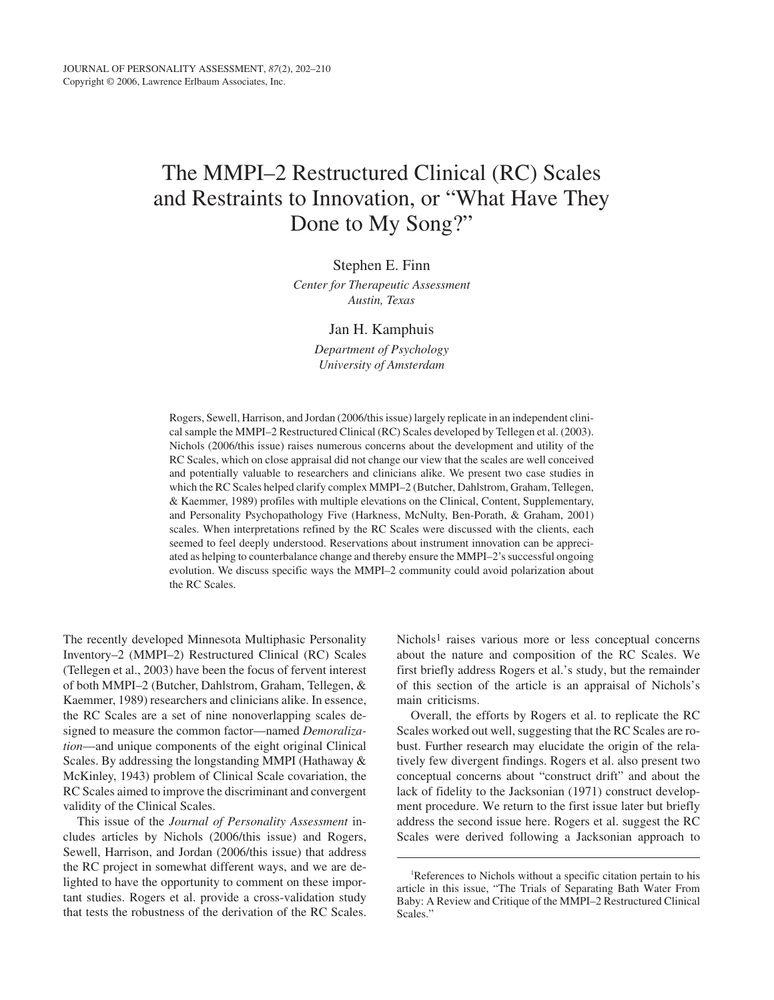# The MMPI–2 Restructured Clinical (RC) Scales and Restraints to Innovation, or "What Have They Done to My Song?"

# Stephen E. Finn

*Center for Therapeutic Assessment Austin, Texas*

## Jan H. Kamphuis

*Department of Psychology University of Amsterdam*

Rogers, Sewell, Harrison, and Jordan (2006/this issue) largely replicate in an independent clinical sample the MMPI–2 Restructured Clinical (RC) Scales developed by Tellegen et al. (2003). Nichols (2006/this issue) raises numerous concerns about the development and utility of the RC Scales, which on close appraisal did not change our view that the scales are well conceived and potentially valuable to researchers and clinicians alike. We present two case studies in which the RC Scales helped clarify complex MMPI–2 (Butcher, Dahlstrom, Graham, Tellegen, & Kaemmer, 1989) profiles with multiple elevations on the Clinical, Content, Supplementary, and Personality Psychopathology Five (Harkness, McNulty, Ben-Porath, & Graham, 2001) scales. When interpretations refined by the RC Scales were discussed with the clients, each seemed to feel deeply understood. Reservations about instrument innovation can be appreciated as helping to counterbalance change and thereby ensure the MMPI–2's successful ongoing evolution. We discuss specific ways the MMPI–2 community could avoid polarization about the RC Scales.

The recently developed Minnesota Multiphasic Personality Inventory–2 (MMPI–2) Restructured Clinical (RC) Scales (Tellegen et al., 2003) have been the focus of fervent interest of both MMPI–2 (Butcher, Dahlstrom, Graham, Tellegen, & Kaemmer, 1989) researchers and clinicians alike. In essence, the RC Scales are a set of nine nonoverlapping scales designed to measure the common factor—named *Demoralization*—and unique components of the eight original Clinical Scales. By addressing the longstanding MMPI (Hathaway & McKinley, 1943) problem of Clinical Scale covariation, the RC Scales aimed to improve the discriminant and convergent validity of the Clinical Scales.

This issue of the *Journal of Personality Assessment* includes articles by Nichols (2006/this issue) and Rogers, Sewell, Harrison, and Jordan (2006/this issue) that address the RC project in somewhat different ways, and we are delighted to have the opportunity to comment on these important studies. Rogers et al. provide a cross-validation study that tests the robustness of the derivation of the RC Scales.

Nichols<sup>1</sup> raises various more or less conceptual concerns about the nature and composition of the RC Scales. We first briefly address Rogers et al.'s study, but the remainder of this section of the article is an appraisal of Nichols's main criticisms.

Overall, the efforts by Rogers et al. to replicate the RC Scales worked out well, suggesting that the RC Scales are robust. Further research may elucidate the origin of the relatively few divergent findings. Rogers et al. also present two conceptual concerns about "construct drift" and about the lack of fidelity to the Jacksonian (1971) construct development procedure. We return to the first issue later but briefly address the second issue here. Rogers et al. suggest the RC Scales were derived following a Jacksonian approach to

<sup>&</sup>lt;sup>1</sup>References to Nichols without a specific citation pertain to his article in this issue, "The Trials of Separating Bath Water From Baby: A Review and Critique of the MMPI–2 Restructured Clinical Scales."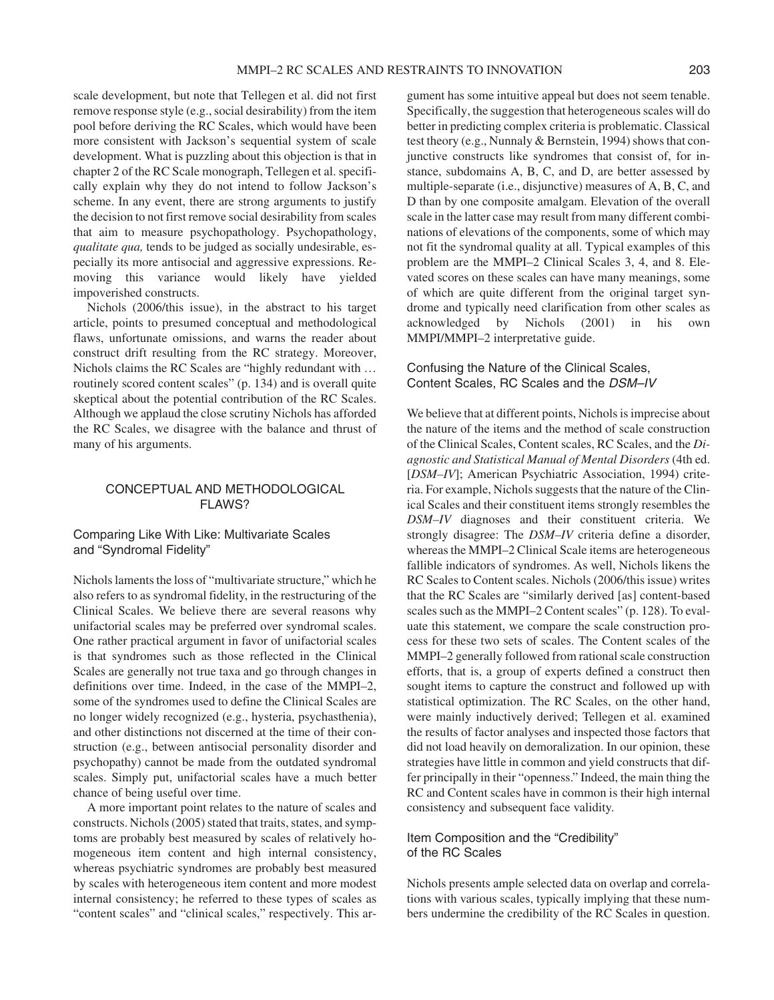scale development, but note that Tellegen et al. did not first remove response style (e.g., social desirability) from the item pool before deriving the RC Scales, which would have been more consistent with Jackson's sequential system of scale development. What is puzzling about this objection is that in chapter 2 of the RC Scale monograph, Tellegen et al. specifically explain why they do not intend to follow Jackson's scheme. In any event, there are strong arguments to justify the decision to not first remove social desirability from scales that aim to measure psychopathology. Psychopathology, *qualitate qua,* tends to be judged as socially undesirable, especially its more antisocial and aggressive expressions. Removing this variance would likely have yielded impoverished constructs.

Nichols (2006/this issue), in the abstract to his target article, points to presumed conceptual and methodological flaws, unfortunate omissions, and warns the reader about construct drift resulting from the RC strategy. Moreover, Nichols claims the RC Scales are "highly redundant with … routinely scored content scales" (p. 134) and is overall quite skeptical about the potential contribution of the RC Scales. Although we applaud the close scrutiny Nichols has afforded the RC Scales, we disagree with the balance and thrust of many of his arguments.

## CONCEPTUAL AND METHODOLOGICAL FLAWS?

# Comparing Like With Like: Multivariate Scales and "Syndromal Fidelity"

Nichols laments the loss of "multivariate structure," which he also refers to as syndromal fidelity, in the restructuring of the Clinical Scales. We believe there are several reasons why unifactorial scales may be preferred over syndromal scales. One rather practical argument in favor of unifactorial scales is that syndromes such as those reflected in the Clinical Scales are generally not true taxa and go through changes in definitions over time. Indeed, in the case of the MMPI–2, some of the syndromes used to define the Clinical Scales are no longer widely recognized (e.g., hysteria, psychasthenia), and other distinctions not discerned at the time of their construction (e.g., between antisocial personality disorder and psychopathy) cannot be made from the outdated syndromal scales. Simply put, unifactorial scales have a much better chance of being useful over time.

A more important point relates to the nature of scales and constructs. Nichols (2005) stated that traits, states, and symptoms are probably best measured by scales of relatively homogeneous item content and high internal consistency, whereas psychiatric syndromes are probably best measured by scales with heterogeneous item content and more modest internal consistency; he referred to these types of scales as "content scales" and "clinical scales," respectively. This ar-

gument has some intuitive appeal but does not seem tenable. Specifically, the suggestion that heterogeneous scales will do better in predicting complex criteria is problematic. Classical test theory (e.g., Nunnaly & Bernstein, 1994) shows that conjunctive constructs like syndromes that consist of, for instance, subdomains A, B, C, and D, are better assessed by multiple-separate (i.e., disjunctive) measures of A, B, C, and D than by one composite amalgam. Elevation of the overall scale in the latter case may result from many different combinations of elevations of the components, some of which may not fit the syndromal quality at all. Typical examples of this problem are the MMPI–2 Clinical Scales 3, 4, and 8. Elevated scores on these scales can have many meanings, some of which are quite different from the original target syndrome and typically need clarification from other scales as acknowledged by Nichols (2001) in his own MMPI/MMPI–2 interpretative guide.

# Confusing the Nature of the Clinical Scales, Content Scales, RC Scales and the DSM–IV

We believe that at different points, Nichols is imprecise about the nature of the items and the method of scale construction of the Clinical Scales, Content scales, RC Scales, and the *Diagnostic and Statistical Manual of Mental Disorders* (4th ed. [*DSM-IV*]; American Psychiatric Association, 1994) criteria. For example, Nichols suggests that the nature of the Clinical Scales and their constituent items strongly resembles the *DSM–IV* diagnoses and their constituent criteria. We strongly disagree: The *DSM–IV* criteria define a disorder, whereas the MMPI–2 Clinical Scale items are heterogeneous fallible indicators of syndromes. As well, Nichols likens the RC Scales to Content scales. Nichols (2006/this issue) writes that the RC Scales are "similarly derived [as] content-based scales such as the MMPI–2 Content scales" (p. 128). To evaluate this statement, we compare the scale construction process for these two sets of scales. The Content scales of the MMPI–2 generally followed from rational scale construction efforts, that is, a group of experts defined a construct then sought items to capture the construct and followed up with statistical optimization. The RC Scales, on the other hand, were mainly inductively derived; Tellegen et al. examined the results of factor analyses and inspected those factors that did not load heavily on demoralization. In our opinion, these strategies have little in common and yield constructs that differ principally in their "openness." Indeed, the main thing the RC and Content scales have in common is their high internal consistency and subsequent face validity.

## Item Composition and the "Credibility" of the RC Scales

Nichols presents ample selected data on overlap and correlations with various scales, typically implying that these numbers undermine the credibility of the RC Scales in question.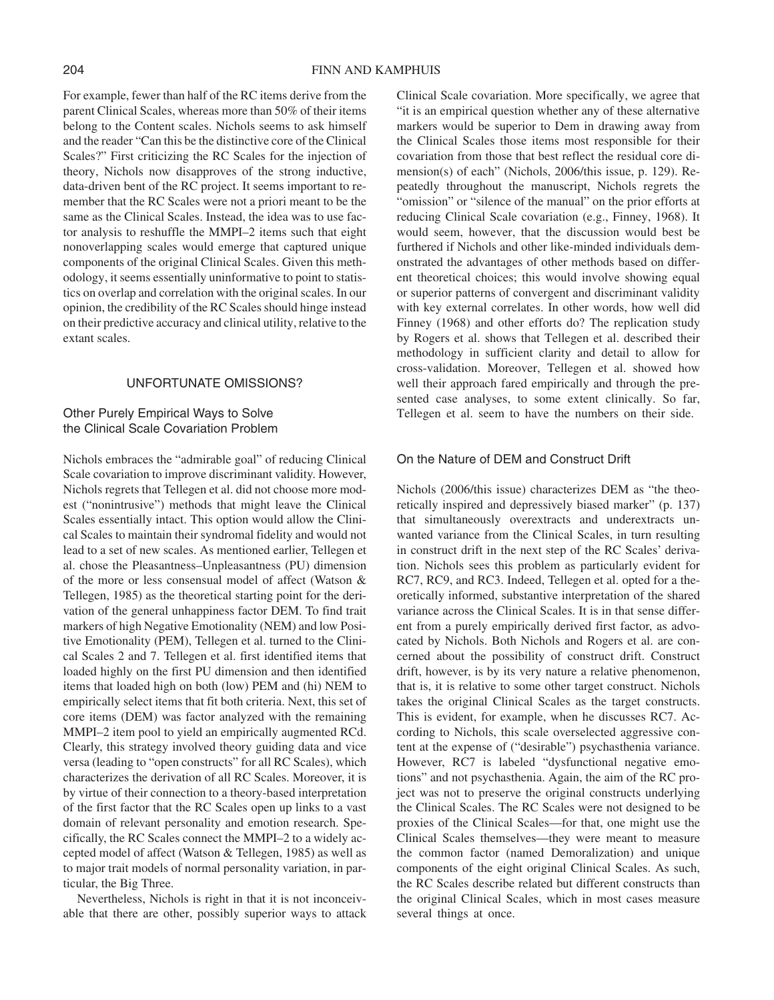For example, fewer than half of the RC items derive from the parent Clinical Scales, whereas more than 50% of their items belong to the Content scales. Nichols seems to ask himself and the reader "Can this be the distinctive core of the Clinical Scales?" First criticizing the RC Scales for the injection of theory, Nichols now disapproves of the strong inductive, data-driven bent of the RC project. It seems important to remember that the RC Scales were not a priori meant to be the same as the Clinical Scales. Instead, the idea was to use factor analysis to reshuffle the MMPI–2 items such that eight nonoverlapping scales would emerge that captured unique components of the original Clinical Scales. Given this methodology, it seems essentially uninformative to point to statistics on overlap and correlation with the original scales. In our opinion, the credibility of the RC Scales should hinge instead on their predictive accuracy and clinical utility, relative to the extant scales.

#### UNFORTUNATE OMISSIONS?

# Other Purely Empirical Ways to Solve the Clinical Scale Covariation Problem

Nichols embraces the "admirable goal" of reducing Clinical Scale covariation to improve discriminant validity. However, Nichols regrets that Tellegen et al. did not choose more modest ("nonintrusive") methods that might leave the Clinical Scales essentially intact. This option would allow the Clinical Scales to maintain their syndromal fidelity and would not lead to a set of new scales. As mentioned earlier, Tellegen et al. chose the Pleasantness–Unpleasantness (PU) dimension of the more or less consensual model of affect (Watson & Tellegen, 1985) as the theoretical starting point for the derivation of the general unhappiness factor DEM. To find trait markers of high Negative Emotionality (NEM) and low Positive Emotionality (PEM), Tellegen et al. turned to the Clinical Scales 2 and 7. Tellegen et al. first identified items that loaded highly on the first PU dimension and then identified items that loaded high on both (low) PEM and (hi) NEM to empirically select items that fit both criteria. Next, this set of core items (DEM) was factor analyzed with the remaining MMPI–2 item pool to yield an empirically augmented RCd. Clearly, this strategy involved theory guiding data and vice versa (leading to "open constructs" for all RC Scales), which characterizes the derivation of all RC Scales. Moreover, it is by virtue of their connection to a theory-based interpretation of the first factor that the RC Scales open up links to a vast domain of relevant personality and emotion research. Specifically, the RC Scales connect the MMPI–2 to a widely accepted model of affect (Watson & Tellegen, 1985) as well as to major trait models of normal personality variation, in particular, the Big Three.

Nevertheless, Nichols is right in that it is not inconceivable that there are other, possibly superior ways to attack Clinical Scale covariation. More specifically, we agree that "it is an empirical question whether any of these alternative markers would be superior to Dem in drawing away from the Clinical Scales those items most responsible for their covariation from those that best reflect the residual core dimension(s) of each" (Nichols, 2006/this issue, p. 129). Repeatedly throughout the manuscript, Nichols regrets the "omission" or "silence of the manual" on the prior efforts at reducing Clinical Scale covariation (e.g., Finney, 1968). It would seem, however, that the discussion would best be furthered if Nichols and other like-minded individuals demonstrated the advantages of other methods based on different theoretical choices; this would involve showing equal or superior patterns of convergent and discriminant validity with key external correlates. In other words, how well did Finney (1968) and other efforts do? The replication study by Rogers et al. shows that Tellegen et al. described their methodology in sufficient clarity and detail to allow for cross-validation. Moreover, Tellegen et al. showed how well their approach fared empirically and through the presented case analyses, to some extent clinically. So far, Tellegen et al. seem to have the numbers on their side.

## On the Nature of DEM and Construct Drift

Nichols (2006/this issue) characterizes DEM as "the theoretically inspired and depressively biased marker" (p. 137) that simultaneously overextracts and underextracts unwanted variance from the Clinical Scales, in turn resulting in construct drift in the next step of the RC Scales' derivation. Nichols sees this problem as particularly evident for RC7, RC9, and RC3. Indeed, Tellegen et al. opted for a theoretically informed, substantive interpretation of the shared variance across the Clinical Scales. It is in that sense different from a purely empirically derived first factor, as advocated by Nichols. Both Nichols and Rogers et al. are concerned about the possibility of construct drift. Construct drift, however, is by its very nature a relative phenomenon, that is, it is relative to some other target construct. Nichols takes the original Clinical Scales as the target constructs. This is evident, for example, when he discusses RC7. According to Nichols, this scale overselected aggressive content at the expense of ("desirable") psychasthenia variance. However, RC7 is labeled "dysfunctional negative emotions" and not psychasthenia. Again, the aim of the RC project was not to preserve the original constructs underlying the Clinical Scales. The RC Scales were not designed to be proxies of the Clinical Scales—for that, one might use the Clinical Scales themselves—they were meant to measure the common factor (named Demoralization) and unique components of the eight original Clinical Scales. As such, the RC Scales describe related but different constructs than the original Clinical Scales, which in most cases measure several things at once.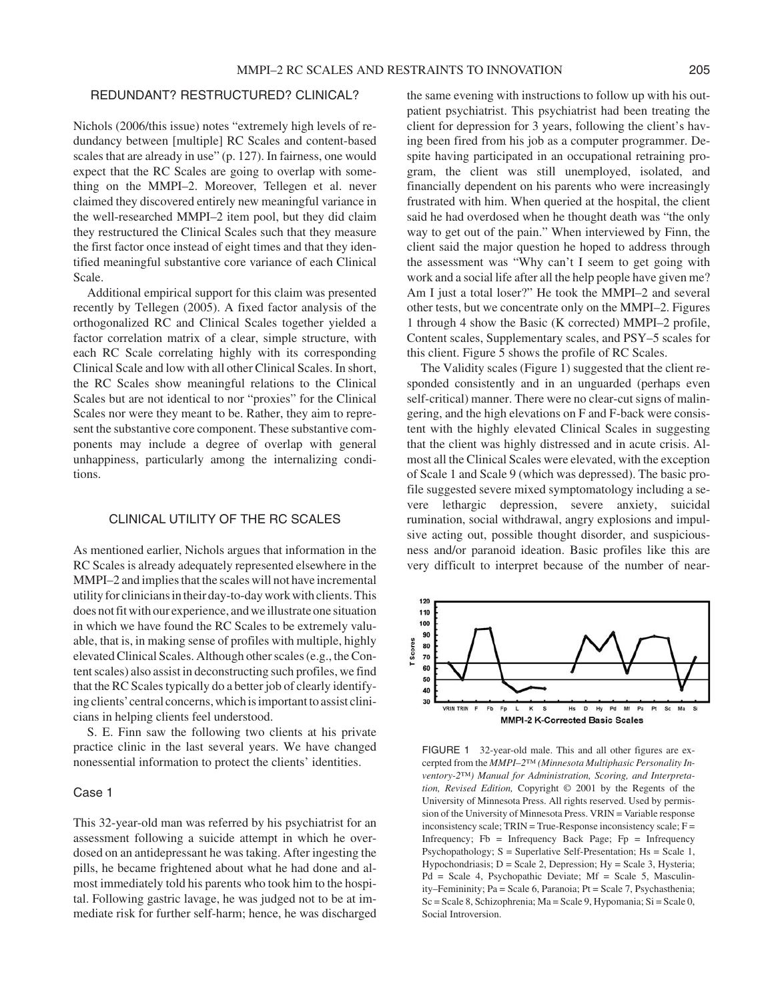# REDUNDANT? RESTRUCTURED? CLINICAL?

Nichols (2006/this issue) notes "extremely high levels of redundancy between [multiple] RC Scales and content-based scales that are already in use" (p. 127). In fairness, one would expect that the RC Scales are going to overlap with something on the MMPI–2. Moreover, Tellegen et al. never claimed they discovered entirely new meaningful variance in the well-researched MMPI–2 item pool, but they did claim they restructured the Clinical Scales such that they measure the first factor once instead of eight times and that they identified meaningful substantive core variance of each Clinical Scale.

Additional empirical support for this claim was presented recently by Tellegen (2005). A fixed factor analysis of the orthogonalized RC and Clinical Scales together yielded a factor correlation matrix of a clear, simple structure, with each RC Scale correlating highly with its corresponding Clinical Scale and low with all other Clinical Scales. In short, the RC Scales show meaningful relations to the Clinical Scales but are not identical to nor "proxies" for the Clinical Scales nor were they meant to be. Rather, they aim to represent the substantive core component. These substantive components may include a degree of overlap with general unhappiness, particularly among the internalizing conditions.

#### CLINICAL UTILITY OF THE RC SCALES

As mentioned earlier, Nichols argues that information in the RC Scales is already adequately represented elsewhere in the MMPI–2 and implies that the scales will not have incremental utility for clinicians in their day-to-day work with clients. This does not fit with our experience, and we illustrate one situation in which we have found the RC Scales to be extremely valuable, that is, in making sense of profiles with multiple, highly elevated Clinical Scales. Although other scales (e.g., the Content scales) also assist in deconstructing such profiles, we find that the RC Scales typically do a better job of clearly identifying clients'central concerns, which is important to assist clinicians in helping clients feel understood.

S. E. Finn saw the following two clients at his private practice clinic in the last several years. We have changed nonessential information to protect the clients' identities.

#### Case 1

This 32-year-old man was referred by his psychiatrist for an assessment following a suicide attempt in which he overdosed on an antidepressant he was taking. After ingesting the pills, he became frightened about what he had done and almost immediately told his parents who took him to the hospital. Following gastric lavage, he was judged not to be at immediate risk for further self-harm; hence, he was discharged

the same evening with instructions to follow up with his outpatient psychiatrist. This psychiatrist had been treating the client for depression for 3 years, following the client's having been fired from his job as a computer programmer. Despite having participated in an occupational retraining program, the client was still unemployed, isolated, and financially dependent on his parents who were increasingly frustrated with him. When queried at the hospital, the client said he had overdosed when he thought death was "the only way to get out of the pain." When interviewed by Finn, the client said the major question he hoped to address through the assessment was "Why can't I seem to get going with work and a social life after all the help people have given me? Am I just a total loser?" He took the MMPI–2 and several other tests, but we concentrate only on the MMPI–2. Figures 1 through 4 show the Basic (K corrected) MMPI–2 profile, Content scales, Supplementary scales, and PSY–5 scales for this client. Figure 5 shows the profile of RC Scales.

The Validity scales (Figure 1) suggested that the client responded consistently and in an unguarded (perhaps even self-critical) manner. There were no clear-cut signs of malingering, and the high elevations on F and F-back were consistent with the highly elevated Clinical Scales in suggesting that the client was highly distressed and in acute crisis. Almost all the Clinical Scales were elevated, with the exception of Scale 1 and Scale 9 (which was depressed). The basic profile suggested severe mixed symptomatology including a severe lethargic depression, severe anxiety, suicidal rumination, social withdrawal, angry explosions and impulsive acting out, possible thought disorder, and suspiciousness and/or paranoid ideation. Basic profiles like this are very difficult to interpret because of the number of near-



FIGURE 1 32-year-old male. This and all other figures are excerpted from the *MMPI–2™ (Minnesota Multiphasic Personality Inventory-2™) Manual for Administration, Scoring, and Interpretation, Revised Edition,* Copyright © 2001 by the Regents of the University of Minnesota Press. All rights reserved. Used by permission of the University of Minnesota Press. VRIN = Variable response inconsistency scale; TRIN = True-Response inconsistency scale; F = Infrequency;  $Fb = Infrequency$  Back Page;  $Fp = Infrequency$ Psychopathology; S = Superlative Self-Presentation; Hs = Scale 1, Hypochondriasis;  $D = Scale 2$ , Depression; Hy = Scale 3, Hysteria; Pd = Scale 4, Psychopathic Deviate; Mf = Scale 5, Masculinity–Femininity; Pa = Scale 6, Paranoia; Pt = Scale 7, Psychasthenia; Sc = Scale 8, Schizophrenia; Ma = Scale 9, Hypomania; Si = Scale 0, Social Introversion.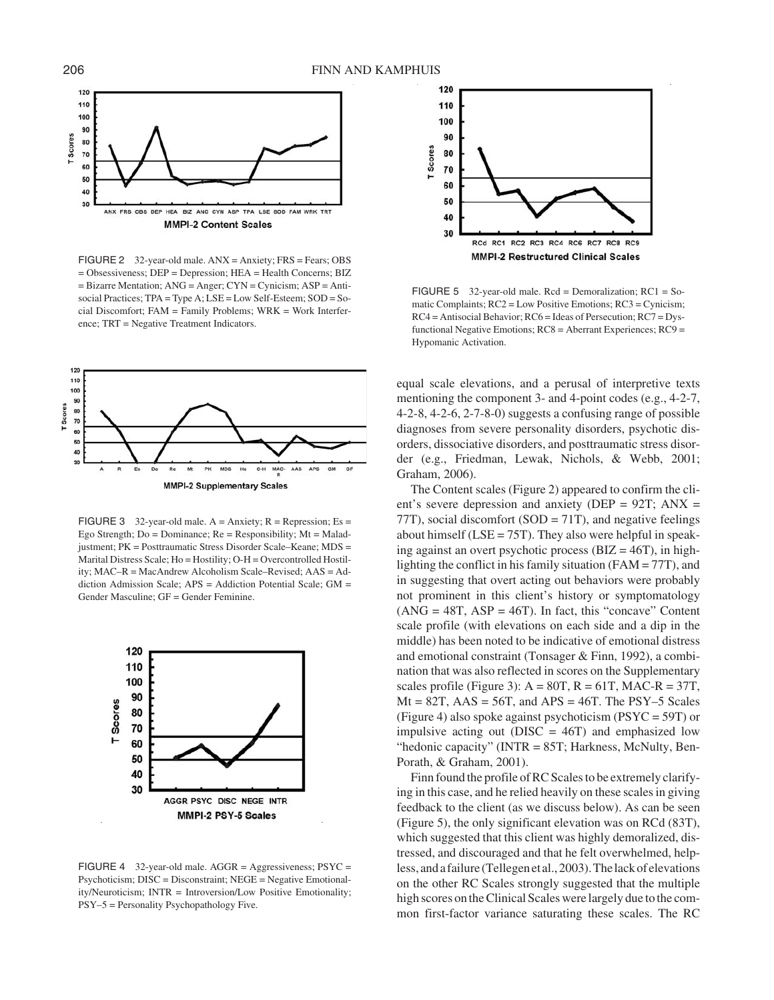

FIGURE 2 32-year-old male. ANX = Anxiety; FRS = Fears; OBS = Obsessiveness; DEP = Depression; HEA = Health Concerns; BIZ = Bizarre Mentation; ANG = Anger; CYN = Cynicism; ASP = Antisocial Practices; TPA = Type A; LSE = Low Self-Esteem; SOD = Social Discomfort; FAM = Family Problems; WRK = Work Interference; TRT = Negative Treatment Indicators.



FIGURE 3 32-year-old male.  $A =$  Anxiety; R = Repression; Es = Ego Strength;  $Do = Dominance$ ;  $Re = Responsibility$ ;  $Mt = Malad$ justment; PK = Posttraumatic Stress Disorder Scale–Keane; MDS = Marital Distress Scale; Ho = Hostility; O-H = Overcontrolled Hostility; MAC–R = MacAndrew Alcoholism Scale–Revised; AAS = Addiction Admission Scale; APS = Addiction Potential Scale; GM = Gender Masculine; GF = Gender Feminine.



FIGURE 4 32-year-old male. AGGR = Aggressiveness; PSYC = Psychoticism; DISC = Disconstraint; NEGE = Negative Emotionality/Neuroticism; INTR = Introversion/Low Positive Emotionality; PSY–5 = Personality Psychopathology Five.



FIGURE 5 32-year-old male. Rcd = Demoralization; RC1 = Somatic Complaints; RC2 = Low Positive Emotions; RC3 = Cynicism; RC4 = Antisocial Behavior; RC6 = Ideas of Persecution; RC7 = Dysfunctional Negative Emotions; RC8 = Aberrant Experiences; RC9 = Hypomanic Activation.

equal scale elevations, and a perusal of interpretive texts mentioning the component 3- and 4-point codes (e.g., 4-2-7, 4-2-8, 4-2-6, 2-7-8-0) suggests a confusing range of possible diagnoses from severe personality disorders, psychotic disorders, dissociative disorders, and posttraumatic stress disorder (e.g., Friedman, Lewak, Nichols, & Webb, 2001; Graham, 2006).

The Content scales (Figure 2) appeared to confirm the client's severe depression and anxiety (DEP = 92T; ANX = 77T), social discomfort (SOD = 71T), and negative feelings about himself ( $LSE = 75T$ ). They also were helpful in speaking against an overt psychotic process ( $BIZ = 46T$ ), in highlighting the conflict in his family situation (FAM = 77T), and in suggesting that overt acting out behaviors were probably not prominent in this client's history or symptomatology  $(ANG = 48T, ASP = 46T)$ . In fact, this "concave" Content scale profile (with elevations on each side and a dip in the middle) has been noted to be indicative of emotional distress and emotional constraint (Tonsager & Finn, 1992), a combination that was also reflected in scores on the Supplementary scales profile (Figure 3):  $A = 80T$ ,  $R = 61T$ , MAC-R = 37T,  $Mt = 82T$ ,  $AAS = 56T$ , and  $APS = 46T$ . The  $PSY - 5$  Scales (Figure 4) also spoke against psychoticism ( $\text{PSYC} = 59\text{T}$ ) or impulsive acting out ( $DISC = 46T$ ) and emphasized low "hedonic capacity" (INTR = 85T; Harkness, McNulty, Ben-Porath, & Graham, 2001).

Finn found the profile of RC Scales to be extremely clarifying in this case, and he relied heavily on these scales in giving feedback to the client (as we discuss below). As can be seen (Figure 5), the only significant elevation was on RCd (83T), which suggested that this client was highly demoralized, distressed, and discouraged and that he felt overwhelmed, helpless, and a failure (Tellegen et al., 2003). The lack of elevations on the other RC Scales strongly suggested that the multiple high scores on the Clinical Scales were largely due to the common first-factor variance saturating these scales. The RC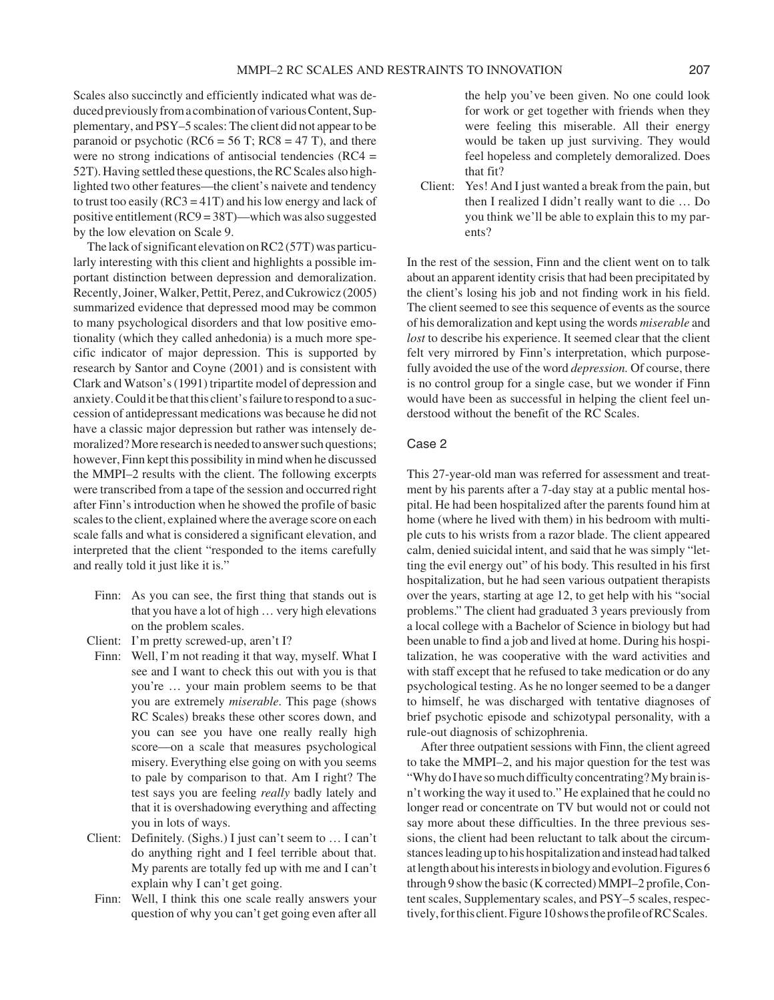Scales also succinctly and efficiently indicated what was deduced previously from a combination of various Content, Supplementary, and PSY–5 scales: The client did not appear to be paranoid or psychotic ( $RC6 = 56$  T;  $RC8 = 47$  T), and there were no strong indications of antisocial tendencies  $(RC4 =$ 52T). Having settled these questions, the RC Scales also highlighted two other features—the client's naivete and tendency to trust too easily  $(RC3 = 41T)$  and his low energy and lack of positive entitlement (RC9 = 38T)—which was also suggested by the low elevation on Scale 9.

The lack of significant elevation on RC2 (57T) was particularly interesting with this client and highlights a possible important distinction between depression and demoralization. Recently, Joiner, Walker, Pettit, Perez, and Cukrowicz (2005) summarized evidence that depressed mood may be common to many psychological disorders and that low positive emotionality (which they called anhedonia) is a much more specific indicator of major depression. This is supported by research by Santor and Coyne (2001) and is consistent with Clark and Watson's (1991) tripartite model of depression and anxiety. Could it be that this client's failure to respond to a succession of antidepressant medications was because he did not have a classic major depression but rather was intensely demoralized? More research is needed to answer such questions; however, Finn kept this possibility in mind when he discussed the MMPI–2 results with the client. The following excerpts were transcribed from a tape of the session and occurred right after Finn's introduction when he showed the profile of basic scales to the client, explained where the average score on each scale falls and what is considered a significant elevation, and interpreted that the client "responded to the items carefully and really told it just like it is."

- Finn: As you can see, the first thing that stands out is that you have a lot of high … very high elevations on the problem scales.
- Client: I'm pretty screwed-up, aren't I?
- Finn: Well, I'm not reading it that way, myself. What I see and I want to check this out with you is that you're … your main problem seems to be that you are extremely *miserable*. This page (shows RC Scales) breaks these other scores down, and you can see you have one really really high score—on a scale that measures psychological misery. Everything else going on with you seems to pale by comparison to that. Am I right? The test says you are feeling *really* badly lately and that it is overshadowing everything and affecting you in lots of ways.
- Client: Definitely. (Sighs.) I just can't seem to … I can't do anything right and I feel terrible about that. My parents are totally fed up with me and I can't explain why I can't get going.
- Finn: Well, I think this one scale really answers your question of why you can't get going even after all

the help you've been given. No one could look for work or get together with friends when they were feeling this miserable. All their energy would be taken up just surviving. They would feel hopeless and completely demoralized. Does that fit?

Client: Yes! And I just wanted a break from the pain, but then I realized I didn't really want to die … Do you think we'll be able to explain this to my parents?

In the rest of the session, Finn and the client went on to talk about an apparent identity crisis that had been precipitated by the client's losing his job and not finding work in his field. The client seemed to see this sequence of events as the source of his demoralization and kept using the words *miserable* and *lost* to describe his experience. It seemed clear that the client felt very mirrored by Finn's interpretation, which purposefully avoided the use of the word *depression.* Of course, there is no control group for a single case, but we wonder if Finn would have been as successful in helping the client feel understood without the benefit of the RC Scales.

## Case 2

This 27-year-old man was referred for assessment and treatment by his parents after a 7-day stay at a public mental hospital. He had been hospitalized after the parents found him at home (where he lived with them) in his bedroom with multiple cuts to his wrists from a razor blade. The client appeared calm, denied suicidal intent, and said that he was simply "letting the evil energy out" of his body. This resulted in his first hospitalization, but he had seen various outpatient therapists over the years, starting at age 12, to get help with his "social problems." The client had graduated 3 years previously from a local college with a Bachelor of Science in biology but had been unable to find a job and lived at home. During his hospitalization, he was cooperative with the ward activities and with staff except that he refused to take medication or do any psychological testing. As he no longer seemed to be a danger to himself, he was discharged with tentative diagnoses of brief psychotic episode and schizotypal personality, with a rule-out diagnosis of schizophrenia.

After three outpatient sessions with Finn, the client agreed to take the MMPI–2, and his major question for the test was "Why do I have so much difficulty concentrating? My brain isn't working the way it used to." He explained that he could no longer read or concentrate on TV but would not or could not say more about these difficulties. In the three previous sessions, the client had been reluctant to talk about the circumstances leading up to his hospitalization and instead had talked at length about his interests in biology and evolution. Figures 6 through 9 show the basic (K corrected) MMPI–2 profile, Content scales, Supplementary scales, and PSY–5 scales, respectively, for this client. Figure 10 shows the profile of RC Scales.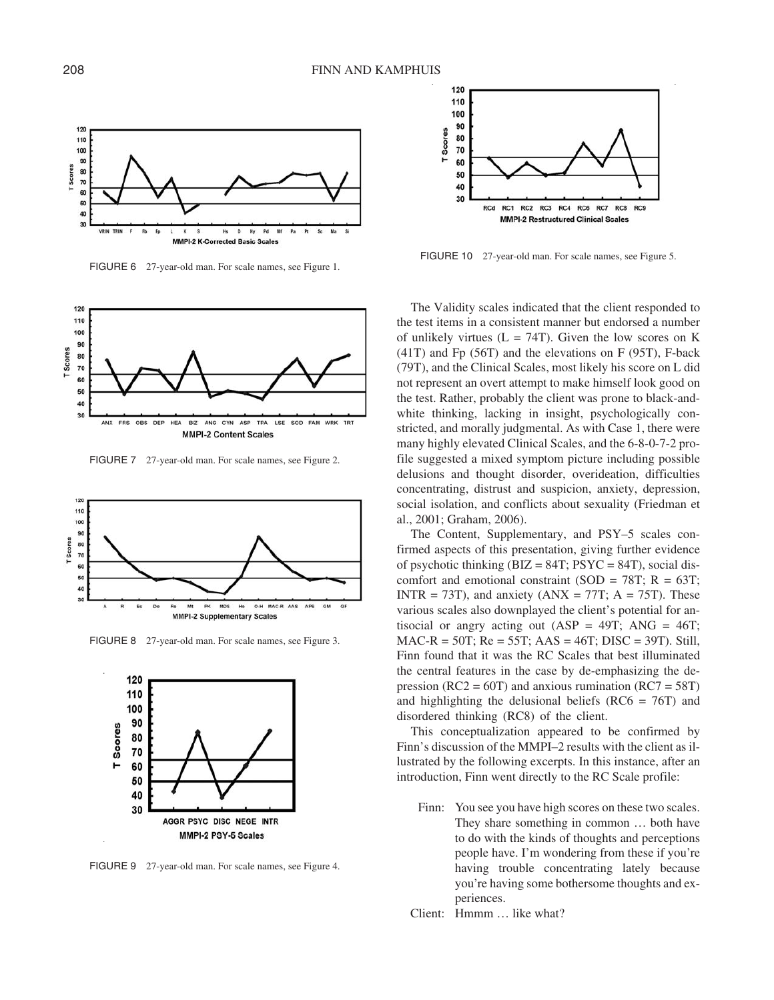

FIGURE 6 27-year-old man. For scale names, see Figure 1.



FIGURE 7 27-year-old man. For scale names, see Figure 2.



FIGURE 8 27-year-old man. For scale names, see Figure 3.



FIGURE 9 27-year-old man. For scale names, see Figure 4.



FIGURE 10 27-year-old man. For scale names, see Figure 5.

The Validity scales indicated that the client responded to the test items in a consistent manner but endorsed a number of unlikely virtues  $(L = 74T)$ . Given the low scores on K  $(41T)$  and Fp  $(56T)$  and the elevations on F  $(95T)$ , F-back (79T), and the Clinical Scales, most likely his score on L did not represent an overt attempt to make himself look good on the test. Rather, probably the client was prone to black-andwhite thinking, lacking in insight, psychologically constricted, and morally judgmental. As with Case 1, there were many highly elevated Clinical Scales, and the 6-8-0-7-2 profile suggested a mixed symptom picture including possible delusions and thought disorder, overideation, difficulties concentrating, distrust and suspicion, anxiety, depression, social isolation, and conflicts about sexuality (Friedman et al., 2001; Graham, 2006).

The Content, Supplementary, and PSY–5 scales confirmed aspects of this presentation, giving further evidence of psychotic thinking  $(BIZ = 84T; PSYC = 84T)$ , social discomfort and emotional constraint (SOD = 78T;  $R = 63T$ ; INTR = 73T), and anxiety ( $ANX = 77T$ ;  $A = 75T$ ). These various scales also downplayed the client's potential for antisocial or angry acting out  $(ASP = 49T; ANG = 46T;$  $MAC-R = 50T$ ;  $Re = 55T$ ;  $AAS = 46T$ ;  $DISC = 39T$ ). Still, Finn found that it was the RC Scales that best illuminated the central features in the case by de-emphasizing the depression ( $RC2 = 60T$ ) and anxious rumination ( $RC7 = 58T$ ) and highlighting the delusional beliefs ( $RC6 = 76T$ ) and disordered thinking (RC8) of the client.

This conceptualization appeared to be confirmed by Finn's discussion of the MMPI–2 results with the client as illustrated by the following excerpts. In this instance, after an introduction, Finn went directly to the RC Scale profile:

- Finn: You see you have high scores on these two scales. They share something in common … both have to do with the kinds of thoughts and perceptions people have. I'm wondering from these if you're having trouble concentrating lately because you're having some bothersome thoughts and experiences.
- Client: Hmmm … like what?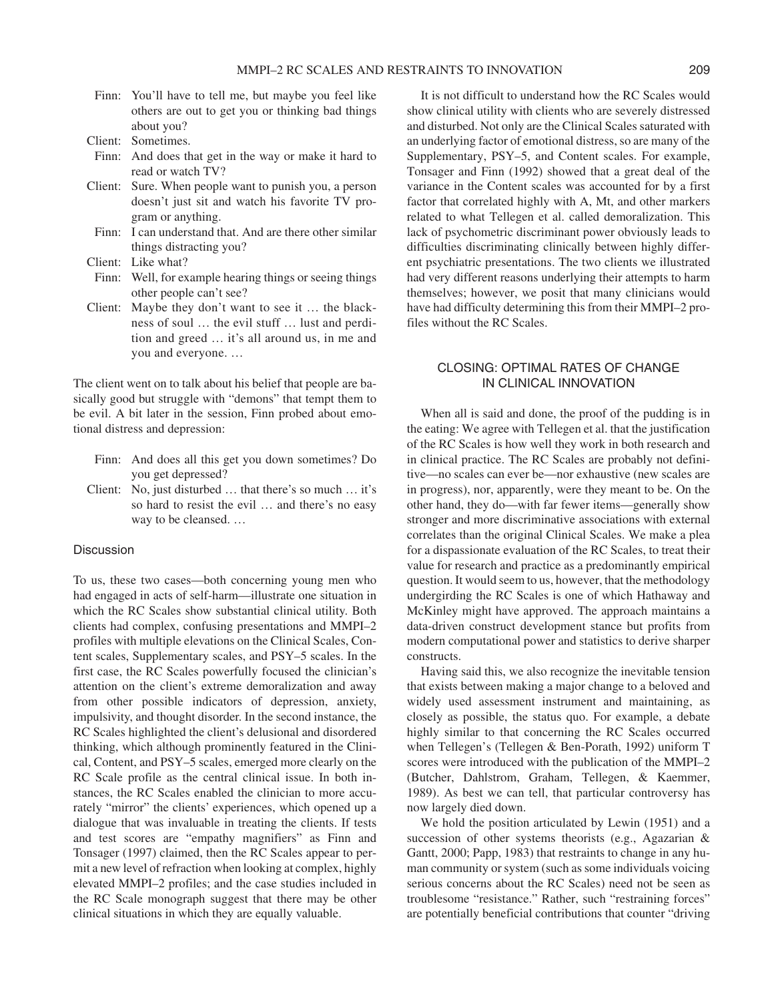Finn: You'll have to tell me, but maybe you feel like others are out to get you or thinking bad things about you?

Client: Sometimes.

- Finn: And does that get in the way or make it hard to read or watch TV?
- Client: Sure. When people want to punish you, a person doesn't just sit and watch his favorite TV program or anything.
- Finn: I can understand that. And are there other similar things distracting you?

Client: Like what?

- Finn: Well, for example hearing things or seeing things other people can't see?
- Client: Maybe they don't want to see it … the blackness of soul … the evil stuff … lust and perdition and greed … it's all around us, in me and you and everyone. …

The client went on to talk about his belief that people are basically good but struggle with "demons" that tempt them to be evil. A bit later in the session, Finn probed about emotional distress and depression:

- Finn: And does all this get you down sometimes? Do you get depressed?
- Client: No, just disturbed … that there's so much … it's so hard to resist the evil … and there's no easy way to be cleansed. …

#### **Discussion**

To us, these two cases—both concerning young men who had engaged in acts of self-harm—illustrate one situation in which the RC Scales show substantial clinical utility. Both clients had complex, confusing presentations and MMPI–2 profiles with multiple elevations on the Clinical Scales, Content scales, Supplementary scales, and PSY–5 scales. In the first case, the RC Scales powerfully focused the clinician's attention on the client's extreme demoralization and away from other possible indicators of depression, anxiety, impulsivity, and thought disorder. In the second instance, the RC Scales highlighted the client's delusional and disordered thinking, which although prominently featured in the Clinical, Content, and PSY–5 scales, emerged more clearly on the RC Scale profile as the central clinical issue. In both instances, the RC Scales enabled the clinician to more accurately "mirror" the clients' experiences, which opened up a dialogue that was invaluable in treating the clients. If tests and test scores are "empathy magnifiers" as Finn and Tonsager (1997) claimed, then the RC Scales appear to permit a new level of refraction when looking at complex, highly elevated MMPI–2 profiles; and the case studies included in the RC Scale monograph suggest that there may be other clinical situations in which they are equally valuable.

It is not difficult to understand how the RC Scales would show clinical utility with clients who are severely distressed and disturbed. Not only are the Clinical Scales saturated with an underlying factor of emotional distress, so are many of the Supplementary, PSY–5, and Content scales. For example, Tonsager and Finn (1992) showed that a great deal of the variance in the Content scales was accounted for by a first factor that correlated highly with A, Mt, and other markers related to what Tellegen et al. called demoralization. This lack of psychometric discriminant power obviously leads to difficulties discriminating clinically between highly different psychiatric presentations. The two clients we illustrated had very different reasons underlying their attempts to harm themselves; however, we posit that many clinicians would have had difficulty determining this from their MMPI–2 profiles without the RC Scales.

# CLOSING: OPTIMAL RATES OF CHANGE IN CLINICAL INNOVATION

When all is said and done, the proof of the pudding is in the eating: We agree with Tellegen et al. that the justification of the RC Scales is how well they work in both research and in clinical practice. The RC Scales are probably not definitive—no scales can ever be—nor exhaustive (new scales are in progress), nor, apparently, were they meant to be. On the other hand, they do—with far fewer items—generally show stronger and more discriminative associations with external correlates than the original Clinical Scales. We make a plea for a dispassionate evaluation of the RC Scales, to treat their value for research and practice as a predominantly empirical question. It would seem to us, however, that the methodology undergirding the RC Scales is one of which Hathaway and McKinley might have approved. The approach maintains a data-driven construct development stance but profits from modern computational power and statistics to derive sharper constructs.

Having said this, we also recognize the inevitable tension that exists between making a major change to a beloved and widely used assessment instrument and maintaining, as closely as possible, the status quo. For example, a debate highly similar to that concerning the RC Scales occurred when Tellegen's (Tellegen & Ben-Porath, 1992) uniform T scores were introduced with the publication of the MMPI–2 (Butcher, Dahlstrom, Graham, Tellegen, & Kaemmer, 1989). As best we can tell, that particular controversy has now largely died down.

We hold the position articulated by Lewin (1951) and a succession of other systems theorists (e.g., Agazarian & Gantt, 2000; Papp, 1983) that restraints to change in any human community or system (such as some individuals voicing serious concerns about the RC Scales) need not be seen as troublesome "resistance." Rather, such "restraining forces" are potentially beneficial contributions that counter "driving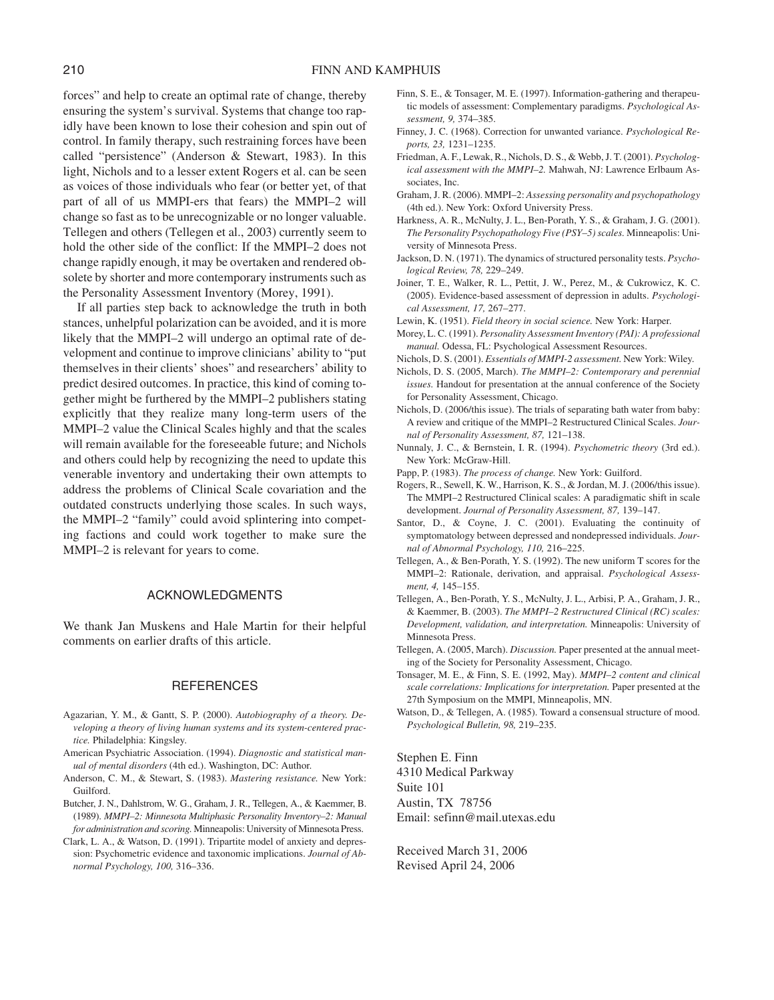forces" and help to create an optimal rate of change, thereby ensuring the system's survival. Systems that change too rapidly have been known to lose their cohesion and spin out of control. In family therapy, such restraining forces have been called "persistence" (Anderson & Stewart, 1983). In this light, Nichols and to a lesser extent Rogers et al. can be seen as voices of those individuals who fear (or better yet, of that part of all of us MMPI-ers that fears) the MMPI–2 will change so fast as to be unrecognizable or no longer valuable. Tellegen and others (Tellegen et al., 2003) currently seem to hold the other side of the conflict: If the MMPI–2 does not change rapidly enough, it may be overtaken and rendered obsolete by shorter and more contemporary instruments such as the Personality Assessment Inventory (Morey, 1991).

If all parties step back to acknowledge the truth in both stances, unhelpful polarization can be avoided, and it is more likely that the MMPI–2 will undergo an optimal rate of development and continue to improve clinicians' ability to "put themselves in their clients' shoes" and researchers' ability to predict desired outcomes. In practice, this kind of coming together might be furthered by the MMPI–2 publishers stating explicitly that they realize many long-term users of the MMPI–2 value the Clinical Scales highly and that the scales will remain available for the foreseeable future; and Nichols and others could help by recognizing the need to update this venerable inventory and undertaking their own attempts to address the problems of Clinical Scale covariation and the outdated constructs underlying those scales. In such ways, the MMPI–2 "family" could avoid splintering into competing factions and could work together to make sure the MMPI–2 is relevant for years to come.

#### ACKNOWLEDGMENTS

We thank Jan Muskens and Hale Martin for their helpful comments on earlier drafts of this article.

#### **REFERENCES**

- Agazarian, Y. M., & Gantt, S. P. (2000). *Autobiography of a theory. Developing a theory of living human systems and its system-centered practice.* Philadelphia: Kingsley.
- American Psychiatric Association. (1994). *Diagnostic and statistical manual of mental disorders* (4th ed.). Washington, DC: Author.
- Anderson, C. M., & Stewart, S. (1983). *Mastering resistance.* New York: Guilford.
- Butcher, J. N., Dahlstrom, W. G., Graham, J. R., Tellegen, A., & Kaemmer, B. (1989). *MMPI–2: Minnesota Multiphasic Personality Inventory–2: Manual for administration and scoring.* Minneapolis: University of Minnesota Press.
- Clark, L. A., & Watson, D. (1991). Tripartite model of anxiety and depression: Psychometric evidence and taxonomic implications. *Journal of Abnormal Psychology, 100,* 316–336.
- Finn, S. E., & Tonsager, M. E. (1997). Information-gathering and therapeutic models of assessment: Complementary paradigms. *Psychological Assessment, 9,* 374–385.
- Finney, J. C. (1968). Correction for unwanted variance. *Psychological Reports, 23,* 1231–1235.
- Friedman, A. F., Lewak, R., Nichols, D. S., & Webb, J. T. (2001). *Psychological assessment with the MMPI–2.* Mahwah, NJ: Lawrence Erlbaum Associates, Inc.
- Graham, J. R. (2006). MMPI–2: *Assessing personality and psychopathology* (4th ed.). New York: Oxford University Press.
- Harkness, A. R., McNulty, J. L., Ben-Porath, Y. S., & Graham, J. G. (2001). *The Personality Psychopathology Five (PSY–5) scales.* Minneapolis: University of Minnesota Press.
- Jackson, D. N. (1971). The dynamics of structured personality tests. *Psychological Review, 78,* 229–249.
- Joiner, T. E., Walker, R. L., Pettit, J. W., Perez, M., & Cukrowicz, K. C. (2005). Evidence-based assessment of depression in adults. *Psychological Assessment, 17,* 267–277.
- Lewin, K. (1951). *Field theory in social science.* New York: Harper.
- Morey, L. C. (1991). *Personality Assessment Inventory (PAI): A professional manual.* Odessa, FL: Psychological Assessment Resources.
- Nichols, D. S. (2001). *Essentials of MMPI-2 assessment.* New York: Wiley.
- Nichols, D. S. (2005, March). *The MMPI–2: Contemporary and perennial issues.* Handout for presentation at the annual conference of the Society for Personality Assessment, Chicago.
- Nichols, D. (2006/this issue). The trials of separating bath water from baby: A review and critique of the MMPI–2 Restructured Clinical Scales. *Journal of Personality Assessment, 87,* 121–138.
- Nunnaly, J. C., & Bernstein, I. R. (1994). *Psychometric theory* (3rd ed.). New York: McGraw-Hill.
- Papp, P. (1983). *The process of change.* New York: Guilford.
- Rogers, R., Sewell, K. W., Harrison, K. S., & Jordan, M. J. (2006/this issue). The MMPI–2 Restructured Clinical scales: A paradigmatic shift in scale development. *Journal of Personality Assessment, 87,* 139–147.
- Santor, D., & Coyne, J. C. (2001). Evaluating the continuity of symptomatology between depressed and nondepressed individuals. *Journal of Abnormal Psychology, 110,* 216–225.
- Tellegen, A., & Ben-Porath, Y. S. (1992). The new uniform T scores for the MMPI–2: Rationale, derivation, and appraisal. *Psychological Assessment, 4,* 145–155.
- Tellegen, A., Ben-Porath, Y. S., McNulty, J. L., Arbisi, P. A., Graham, J. R., & Kaemmer, B. (2003). *The MMPI–2 Restructured Clinical (RC) scales: Development, validation, and interpretation.* Minneapolis: University of Minnesota Press.
- Tellegen, A. (2005, March). *Discussion.* Paper presented at the annual meeting of the Society for Personality Assessment, Chicago.
- Tonsager, M. E., & Finn, S. E. (1992, May). *MMPI–2 content and clinical scale correlations: Implications for interpretation.* Paper presented at the 27th Symposium on the MMPI, Minneapolis, MN.
- Watson, D., & Tellegen, A. (1985). Toward a consensual structure of mood. *Psychological Bulletin, 98,* 219–235.

Stephen E. Finn 4310 Medical Parkway Suite 101 Austin, TX 78756 Email: sefinn@mail.utexas.edu

Received March 31, 2006 Revised April 24, 2006